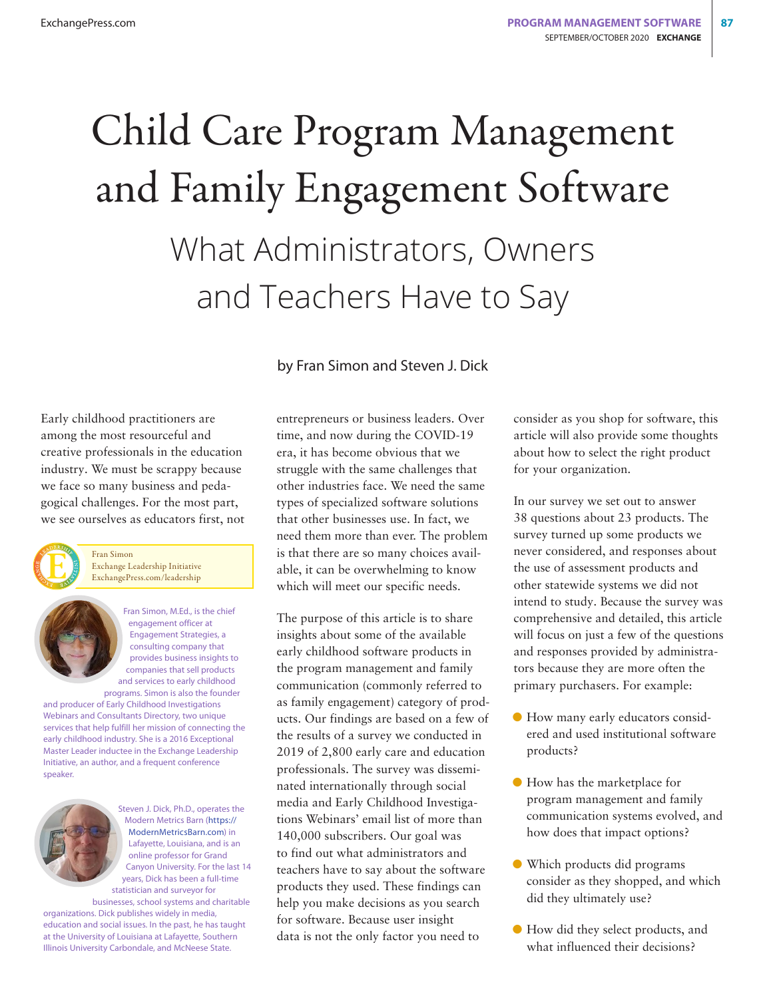# Child Care Program Management and Family Engagement Software What Administrators, Owners and Teachers Have to Say

Early childhood practitioners are among the most resourceful and creative professionals in the education industry. We must be scrappy because we face so many business and pedagogical challenges. For the most part, we see ourselves as educators first, not



Fran Simon Exchange Leadership Initiative ExchangePress.com/leadership

Fran Simon, M.Ed., is the chief engagement officer at Engagement Strategies, a consulting company that provides business insights to companies that sell products and services to early childhood programs. Simon is also the founder

and producer of Early Childhood Investigations Webinars and Consultants Directory, two unique services that help fulfill her mission of connecting the early childhood industry. She is a 2016 Exceptional Master Leader inductee in the Exchange Leadership Initiative, an author, and a frequent conference speaker.



Steven J. Dick, Ph.D., operates the Modern Metrics Barn [\(https://](https://ModernMetricsBarn.com) [ModernMetricsBarn.com\)](https://ModernMetricsBarn.com) in Lafayette, Louisiana, and is an online professor for Grand Canyon University. For the last 14 years, Dick has been a full-time statistician and surveyor for

businesses, school systems and charitable organizations. Dick publishes widely in media, education and social issues. In the past, he has taught at the University of Louisiana at Lafayette, Southern Illinois University Carbondale, and McNeese State.

# by Fran Simon and Steven J. Dick

entrepreneurs or business leaders. Over time, and now during the COVID-19 era, it has become obvious that we struggle with the same challenges that other industries face. We need the same types of specialized software solutions that other businesses use. In fact, we need them more than ever. The problem is that there are so many choices available, it can be overwhelming to know which will meet our specific needs.

The purpose of this article is to share insights about some of the available early childhood software products in the program management and family communication (commonly referred to as family engagement) category of products. Our findings are based on a few of the results of a survey we conducted in 2019 of 2,800 early care and education professionals. The survey was disseminated internationally through social media and Early Childhood Investigations Webinars' email list of more than 140,000 subscribers. Our goal was to find out what administrators and teachers have to say about the software products they used. These findings can help you make decisions as you search for software. Because user insight data is not the only factor you need to

consider as you shop for software, this article will also provide some thoughts about how to select the right product for your organization.

In our survey we set out to answer 38 questions about 23 products. The survey turned up some products we never considered, and responses about the use of assessment products and other statewide systems we did not intend to study. Because the survey was comprehensive and detailed, this article will focus on just a few of the questions and responses provided by administrators because they are more often the primary purchasers. For example:

- $\bullet$  How many early educators considered and used institutional software products?
- D How has the marketplace for program management and family communication systems evolved, and how does that impact options?
- D Which products did programs consider as they shopped, and which did they ultimately use?
- D How did they select products, and what influenced their decisions?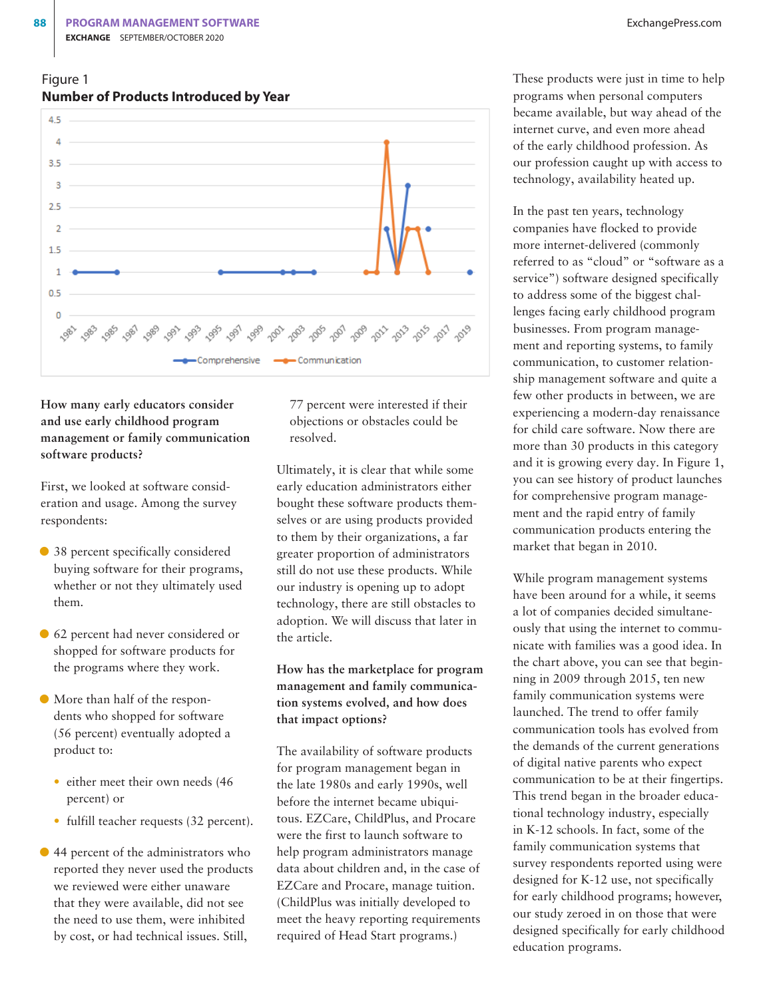#### Figure 1 **Number of Products Introduced by Year**



**How many early educators consider and use early childhood program management or family communication software products?**

First, we looked at software consideration and usage. Among the survey respondents:

- 38 percent specifically considered buying software for their programs, whether or not they ultimately used them.
- $\bullet$  62 percent had never considered or shopped for software products for the programs where they work.
- D More than half of the respondents who shopped for software (56 percent) eventually adopted a product to:
	- either meet their own needs (46 percent) or
	- fulfill teacher requests (32 percent).
- D 44 percent of the administrators who reported they never used the products we reviewed were either unaware that they were available, did not see the need to use them, were inhibited by cost, or had technical issues. Still,

77 percent were interested if their objections or obstacles could be resolved.

Ultimately, it is clear that while some early education administrators either bought these software products themselves or are using products provided to them by their organizations, a far greater proportion of administrators still do not use these products. While our industry is opening up to adopt technology, there are still obstacles to adoption. We will discuss that later in the article.

**How has the marketplace for program management and family communication systems evolved, and how does that impact options?**

The availability of software products for program management began in the late 1980s and early 1990s, well before the internet became ubiquitous. EZCare, ChildPlus, and Procare were the first to launch software to help program administrators manage data about children and, in the case of EZCare and Procare, manage tuition. (ChildPlus was initially developed to meet the heavy reporting requirements required of Head Start programs.)

These products were just in time to help programs when personal computers became available, but way ahead of the internet curve, and even more ahead of the early childhood profession. As our profession caught up with access to technology, availability heated up.

In the past ten years, technology companies have flocked to provide more internet-delivered (commonly referred to as "cloud" or "software as a service") software designed specifically to address some of the biggest challenges facing early childhood program businesses. From program management and reporting systems, to family communication, to customer relationship management software and quite a few other products in between, we are experiencing a modern-day renaissance for child care software. Now there are more than 30 products in this category and it is growing every day. In Figure 1, you can see history of product launches for comprehensive program management and the rapid entry of family communication products entering the market that began in 2010.

While program management systems have been around for a while, it seems a lot of companies decided simultaneously that using the internet to communicate with families was a good idea. In the chart above, you can see that beginning in 2009 through 2015, ten new family communication systems were launched. The trend to offer family communication tools has evolved from the demands of the current generations of digital native parents who expect communication to be at their fingertips. This trend began in the broader educational technology industry, especially in K-12 schools. In fact, some of the family communication systems that survey respondents reported using were designed for K-12 use, not specifically for early childhood programs; however, our study zeroed in on those that were designed specifically for early childhood education programs.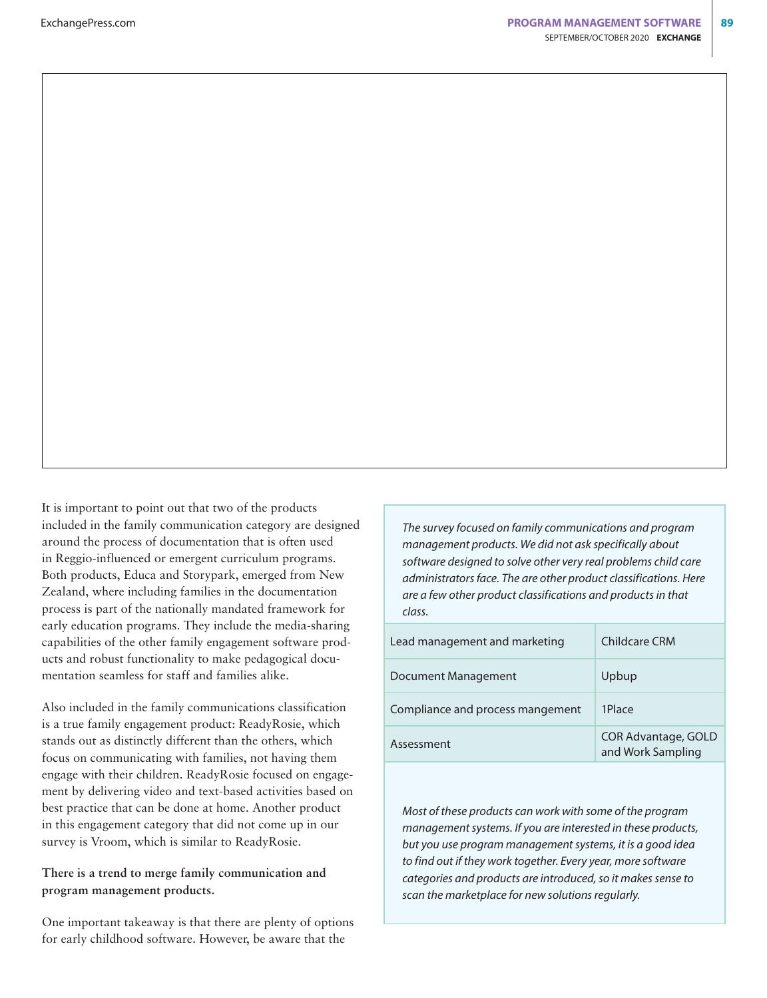It is important to point out that two of the products included in the family communication category are designed around the process of documentation that is often used in Reggio-influenced or emergent curriculum programs. Both products, Educa and Storypark, emerged from New Zealand, where including families in the documentation process is part of the nationally mandated framework for early education programs. They include the media-sharing capabilities of the other family engagement software products and robust functionality to make pedagogical documentation seamless for staff and families alike.

Also included in the family communications classification is a true family engagement product: ReadyRosie, which stands out as distinctly different than the others, which focus on communicating with families, not having them engage with their children. ReadyRosie focused on engagement by delivering video and text-based activities based on best practice that can be done at home. Another product in this engagement category that did not come up in our survey is Vroom, which is similar to ReadyRosie.

# **There is a trend to merge family communication and program management products.**

One important takeaway is that there are plenty of options for early childhood software. However, be aware that the

*The survey focused on family communications and program management products. We did not ask specifically about software designed to solve other very real problems child care administrators face. The are other product classifications. Here are a few other product classifications and products in that class.*

| Lead management and marketing    | Childcare CRM                            |
|----------------------------------|------------------------------------------|
| Document Management              | Upbup                                    |
| Compliance and process mangement | 1Place                                   |
| Assessment                       | COR Advantage, GOLD<br>and Work Sampling |

*Most of these products can work with some of the program management systems. If you are interested in these products, but you use program management systems, it is a good idea to find out if they work together. Every year, more software categories and products are introduced, so it makes sense to scan the marketplace for new solutions regularly.*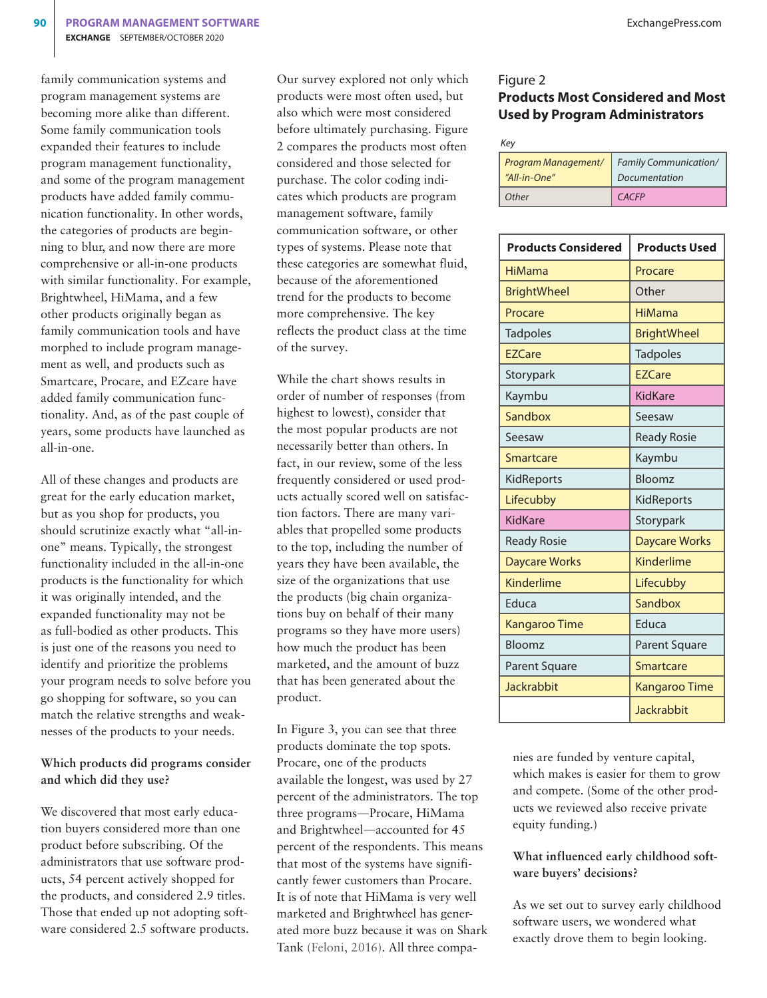family communication systems and program management systems are becoming more alike than different. Some family communication tools expanded their features to include program management functionality, and some of the program management products have added family communication functionality. In other words, the categories of products are beginning to blur, and now there are more comprehensive or all-in-one products with similar functionality. For example, Brightwheel, HiMama, and a few other products originally began as family communication tools and have morphed to include program management as well, and products such as Smartcare, Procare, and EZcare have added family communication functionality. And, as of the past couple of years, some products have launched as all-in-one.

All of these changes and products are great for the early education market, but as you shop for products, you should scrutinize exactly what "all-inone" means. Typically, the strongest functionality included in the all-in-one products is the functionality for which it was originally intended, and the expanded functionality may not be as full-bodied as other products. This is just one of the reasons you need to identify and prioritize the problems your program needs to solve before you go shopping for software, so you can match the relative strengths and weaknesses of the products to your needs.

# **Which products did programs consider and which did they use?**

We discovered that most early education buyers considered more than one product before subscribing. Of the administrators that use software products, 54 percent actively shopped for the products, and considered 2.9 titles. Those that ended up not adopting software considered 2.5 software products. Our survey explored not only which products were most often used, but also which were most considered before ultimately purchasing. Figure 2 compares the products most often considered and those selected for purchase. The color coding indicates which products are program management software, family communication software, or other types of systems. Please note that these categories are somewhat fluid, because of the aforementioned trend for the products to become more comprehensive. The key reflects the product class at the time of the survey.

While the chart shows results in order of number of responses (from highest to lowest), consider that the most popular products are not necessarily better than others. In fact, in our review, some of the less frequently considered or used products actually scored well on satisfaction factors. There are many variables that propelled some products to the top, including the number of years they have been available, the size of the organizations that use the products (big chain organizations buy on behalf of their many programs so they have more users) how much the product has been marketed, and the amount of buzz that has been generated about the product.

In Figure 3, you can see that three products dominate the top spots. Procare, one of the products available the longest, was used by 27 percent of the administrators. The top three programs—Procare, HiMama and Brightwheel—accounted for 45 percent of the respondents. This means that most of the systems have significantly fewer customers than Procare. It is of note that HiMama is very well marketed and Brightwheel has generated more buzz because it was on Shark Tank (Feloni, 2016). All three compa-

### Figure 2 **Products Most Considered and Most Used by Program Administrators**

| Key                 |                       |
|---------------------|-----------------------|
| Program Management/ | Family Communication/ |
| "All-in-One"        | Documentation         |
| Other               | <b>CACFP</b>          |

| <b>Products Considered</b> | <b>Products Used</b> |
|----------------------------|----------------------|
| HiMama                     | Procare              |
| <b>BrightWheel</b>         | Other                |
| Procare                    | <b>HiMama</b>        |
| <b>Tadpoles</b>            | <b>BrightWheel</b>   |
| F7Care                     | <b>Tadpoles</b>      |
| Storypark                  | <b>EZCare</b>        |
| Kaymbu                     | <b>KidKare</b>       |
| Sandbox                    | Seesaw               |
| Seesaw                     | <b>Ready Rosie</b>   |
| Smartcare                  | Kaymbu               |
| <b>KidReports</b>          | <b>Bloomz</b>        |
| Lifecubby                  | KidReports           |
| <b>KidKare</b>             | Storypark            |
| <b>Ready Rosie</b>         | <b>Daycare Works</b> |
| <b>Daycare Works</b>       | Kinderlime           |
| Kinderlime                 | Lifecubby            |
| Educa                      | Sandbox              |
| <b>Kangaroo Time</b>       | Educa                |
| <b>Bloomz</b>              | <b>Parent Square</b> |
| Parent Square              | Smartcare            |
| Jackrabbit                 | <b>Kangaroo Time</b> |
|                            | Jackrabbit           |

nies are funded by venture capital, which makes is easier for them to grow and compete. (Some of the other products we reviewed also receive private equity funding.)

# **What influenced early childhood software buyers' decisions?**

As we set out to survey early childhood software users, we wondered what exactly drove them to begin looking.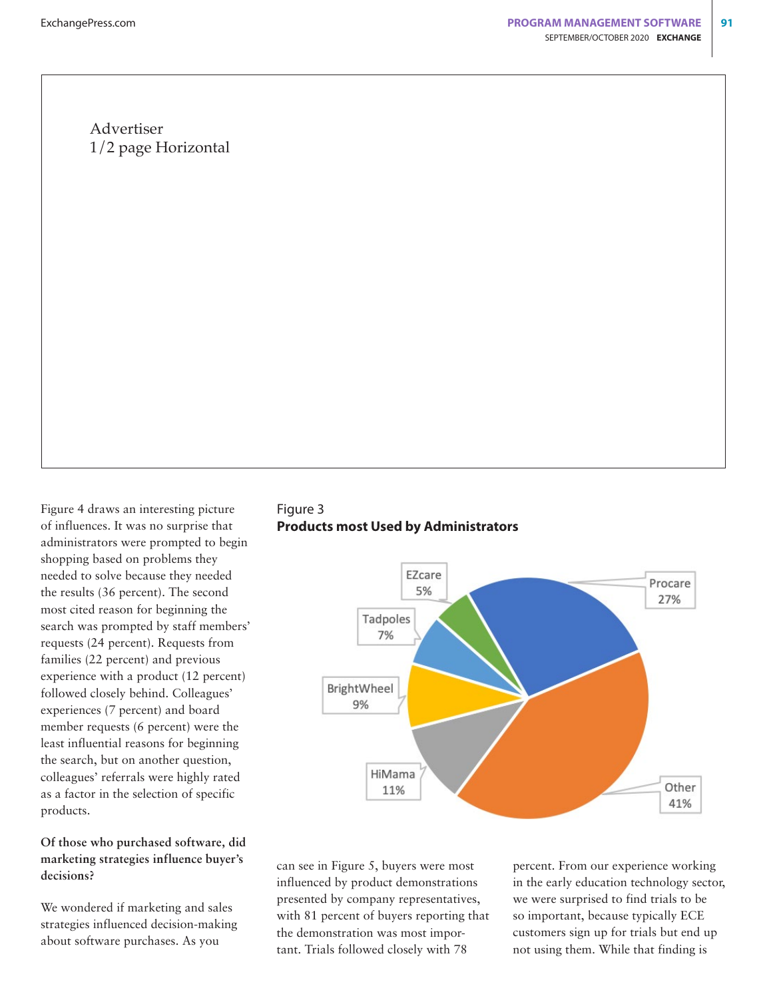Advertiser 1/2 page Horizontal

Figure 4 draws an interesting picture of influences. It was no surprise that administrators were prompted to begin shopping based on problems they needed to solve because they needed the results (36 percent). The second most cited reason for beginning the search was prompted by staff members' requests (24 percent). Requests from families (22 percent) and previous experience with a product (12 percent) followed closely behind. Colleagues' experiences (7 percent) and board member requests (6 percent) were the least influential reasons for beginning the search, but on another question, colleagues' referrals were highly rated as a factor in the selection of specific products.

# **Of those who purchased software, did marketing strategies influence buyer's decisions?**

We wondered if marketing and sales strategies influenced decision-making about software purchases. As you

# Figure 3 **Products most Used by Administrators**



can see in Figure 5, buyers were most influenced by product demonstrations presented by company representatives, with 81 percent of buyers reporting that the demonstration was most important. Trials followed closely with 78

percent. From our experience working in the early education technology sector, we were surprised to find trials to be so important, because typically ECE customers sign up for trials but end up not using them. While that finding is